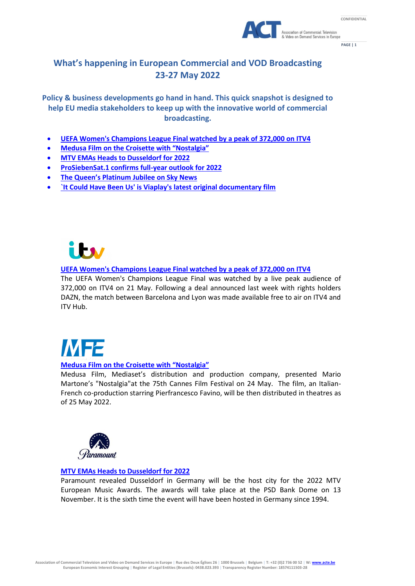



**PAGE | 1**

### **What's happening in European Commercial and VOD Broadcasting 23-27 May 2022**

**Policy & business developments go hand in hand. This quick snapshot is designed to help EU media stakeholders to keep up with the innovative world of commercial broadcasting.**

- **[UEFA Women's Champions League Final watched by a peak of 372,000 on ITV4](https://www.itv.com/presscentre/press-releases/uefa-womens-champions-league-final-watched-peak-372000-itv4)**
- **[Medusa Film on the Croisette with "Nostalgia"](https://www.medusa.it/)**
- **[MTV EMAs Heads to Dusseldorf for 2022](https://variety.com/2022/tv/news/mtv-emas-dusseldorf-2022-1235276039/amp/)**
- **[ProSiebenSat.1 confirms full-year outlook for 2022](https://www.prosiebensat1.com/en/press/prosiebensat-1-confirms-full-year-outlook-for-2022)**
- **The [Queen's Platinum Jubilee on Sky News](https://www.skygroup.sky/en-gb/article/the-queen-s-platinum-jubilee-on-sky-news)**
- **[`It Could Have Been Us' is Viaplay's latest original documentary film](https://www.viaplaygroup.com/news/news-releases/it-could-have-been-us-viaplays-latest-original-documentary-film-2023802)**



### **[UEFA Women's Champions League Final watched by a peak of 372,000 on ITV4](https://www.itv.com/presscentre/press-releases/uefa-womens-champions-league-final-watched-peak-372000-itv4)**

The UEFA Women's Champions League Final was watched by a live peak audience of 372,000 on ITV4 on 21 May. Following a deal announced last week with rights holders DAZN, the match between Barcelona and Lyon was made available free to air on ITV4 and ITV Hub.

# **MF2**

### **[Medusa Film on the Croisette with "Nostalgia"](https://www.medusa.it/)**

Medusa Film, Mediaset's distribution and production company, presented Mario Martone's "Nostalgia"at the 75th Cannes Film Festival on 24 May. The film, an Italian-French co-production starring Pierfrancesco Favino, will be then distributed in theatres as of 25 May 2022.



### **[MTV EMAs Heads to Dusseldorf for 2022](https://variety.com/2022/tv/news/mtv-emas-dusseldorf-2022-1235276039/amp/)**

Paramount revealed Dusseldorf in Germany will be the host city for the 2022 MTV European Music Awards. The awards will take place at the PSD Bank Dome on 13 November. It is the sixth time the event will have been hosted in Germany since 1994.